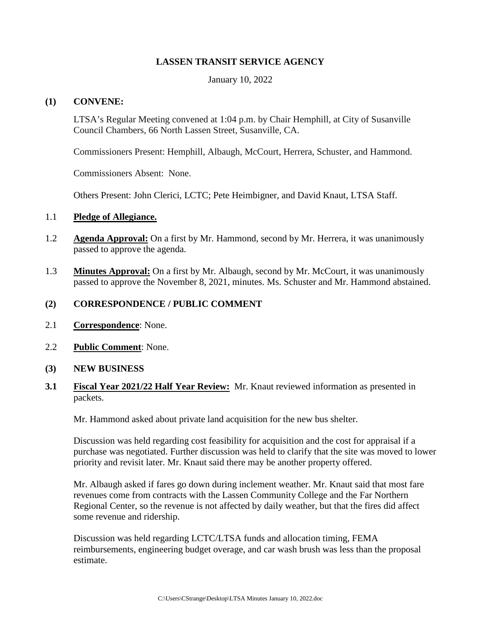# **LASSEN TRANSIT SERVICE AGENCY**

January 10, 2022

### **(1) CONVENE:**

LTSA's Regular Meeting convened at 1:04 p.m. by Chair Hemphill, at City of Susanville Council Chambers, 66 North Lassen Street, Susanville, CA.

Commissioners Present: Hemphill, Albaugh, McCourt, Herrera, Schuster, and Hammond.

Commissioners Absent: None.

Others Present: John Clerici, LCTC; Pete Heimbigner, and David Knaut, LTSA Staff.

#### 1.1 **Pledge of Allegiance.**

- 1.2 **Agenda Approval:** On a first by Mr. Hammond, second by Mr. Herrera, it was unanimously passed to approve the agenda.
- 1.3 **Minutes Approval:** On a first by Mr. Albaugh, second by Mr. McCourt, it was unanimously passed to approve the November 8, 2021, minutes. Ms. Schuster and Mr. Hammond abstained.

#### **(2) CORRESPONDENCE / PUBLIC COMMENT**

- 2.1 **Correspondence**: None.
- 2.2 **Public Comment**: None.
- **(3) NEW BUSINESS**
- **3.1 Fiscal Year 2021/22 Half Year Review:** Mr. Knaut reviewed information as presented in packets.

Mr. Hammond asked about private land acquisition for the new bus shelter.

Discussion was held regarding cost feasibility for acquisition and the cost for appraisal if a purchase was negotiated. Further discussion was held to clarify that the site was moved to lower priority and revisit later. Mr. Knaut said there may be another property offered.

Mr. Albaugh asked if fares go down during inclement weather. Mr. Knaut said that most fare revenues come from contracts with the Lassen Community College and the Far Northern Regional Center, so the revenue is not affected by daily weather, but that the fires did affect some revenue and ridership.

Discussion was held regarding LCTC/LTSA funds and allocation timing, FEMA reimbursements, engineering budget overage, and car wash brush was less than the proposal estimate.